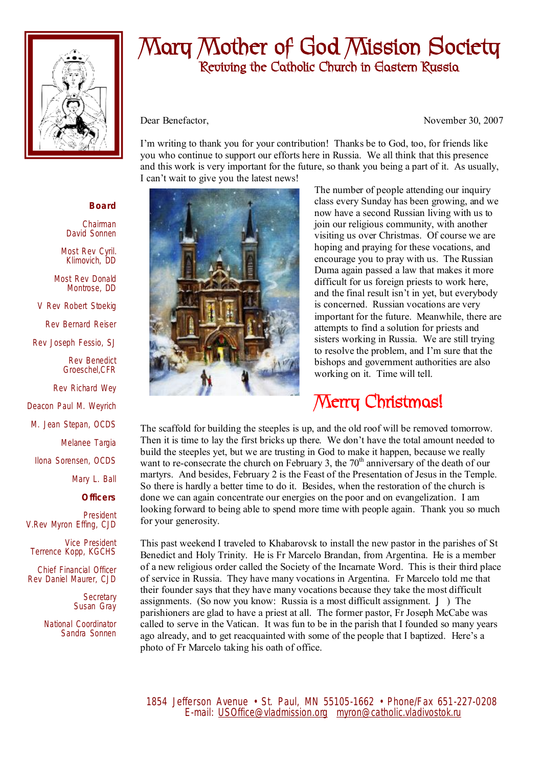

## **Mary Mother of God Mission Society Reviving the Catholic Church in Eastern Russia**

Dear Benefactor, November 30, 2007

I'm writing to thank you for your contribution! Thanks be to God, too, for friends like you who continue to support our efforts here in Russia. We all think that this presence and this work is very important for the future, so thank you being a part of it. As usually, I can't wait to give you the latest news!



The number of people attending our inquiry class every Sunday has been growing, and we now have a second Russian living with us to join our religious community, with another visiting us over Christmas. Of course we are hoping and praying for these vocations, and encourage you to pray with us. The Russian Duma again passed a law that makes it more difficult for us foreign priests to work here, and the final result isn't in yet, but everybody is concerned. Russian vocations are very important for the future. Meanwhile, there are attempts to find a solution for priests and sisters working in Russia. We are still trying to resolve the problem, and I'm sure that the bishops and government authorities are also working on it. Time will tell.

## **Merry Christmas!**

The scaffold for building the steeples is up, and the old roof will be removed tomorrow. Then it is time to lay the first bricks up there. We don't have the total amount needed to build the steeples yet, but we are trusting in God to make it happen, because we really want to re-consecrate the church on February 3, the  $70<sup>th</sup>$  anniversary of the death of our martyrs. And besides, February 2 is the Feast of the Presentation of Jesus in the Temple. So there is hardly a better time to do it. Besides, when the restoration of the church is done we can again concentrate our energies on the poor and on evangelization. I am looking forward to being able to spend more time with people again. Thank you so much for your generosity.

This past weekend I traveled to Khabarovsk to install the new pastor in the parishes of St Benedict and Holy Trinity. He is Fr Marcelo Brandan, from Argentina. He is a member of a new religious order called the Society of the Incarnate Word. This is their third place of service in Russia. They have many vocations in Argentina. Fr Marcelo told me that their founder says that they have many vocations because they take the most difficult assignments. (So now you know: Russia is a most difficult assignment. J ) The parishioners are glad to have a priest at all. The former pastor, Fr Joseph McCabe was called to serve in the Vatican. It was fun to be in the parish that I founded so many years ago already, and to get reacquainted with some of the people that I baptized. Here's a photo of Fr Marcelo taking his oath of office.

 1854 Jefferson Avenue • St. Paul, MN 55105-1662 • Phone/Fax 651-227-0208 E-mail: [USOffice@vladmission.org](mailto:USOffice@vladmission.org) [myron@catholic.vladivostok.ru](mailto:myron@catholic.vladivostok.ru)

## **Board**

Chairman David Sonnen

Most Rev Cyril. Klimovich, DD

Most Rev Donald Montrose, DD

V Rev Robert Stoekig

Rev Bernard Reiser

Rev Joseph Fessio, SJ

Rev Benedict Groeschel,CFR

Rev Richard Wey

Deacon Paul M. Weyrich

M. Jean Stepan, OCDS

Melanee Targia

Ilona Sorensen, OCDS

Mary L. Ball

**Officers**

President V.Rev Myron Effing, CJD

Vice President Terrence Kopp, KGCHS

Chief Financial Officer Rev Daniel Maurer, CJD

> **Secretary** Susan Gray

National Coordinator Sandra Sonnen